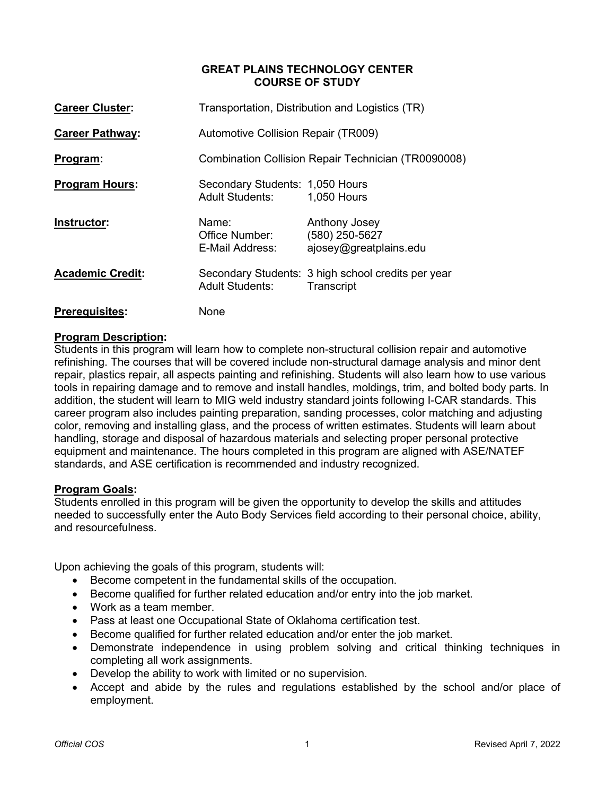## **GREAT PLAINS TECHNOLOGY CENTER COURSE OF STUDY**

| <b>Career Cluster:</b>  | Transportation, Distribution and Logistics (TR)           |                                                                  |  |  |
|-------------------------|-----------------------------------------------------------|------------------------------------------------------------------|--|--|
| <b>Career Pathway:</b>  | <b>Automotive Collision Repair (TR009)</b>                |                                                                  |  |  |
| <u>Program:</u>         | Combination Collision Repair Technician (TR0090008)       |                                                                  |  |  |
| <b>Program Hours:</b>   | Secondary Students: 1,050 Hours<br><b>Adult Students:</b> | 1,050 Hours                                                      |  |  |
| Instructor:             | Name:<br>Office Number:<br>E-Mail Address:                | Anthony Josey<br>(580) 250-5627<br>ajosey@greatplains.edu        |  |  |
| <b>Academic Credit:</b> | <b>Adult Students:</b>                                    | Secondary Students: 3 high school credits per year<br>Transcript |  |  |
| <b>Prerequisites:</b>   | None                                                      |                                                                  |  |  |

## **Program Description:**

Students in this program will learn how to complete non-structural collision repair and automotive refinishing. The courses that will be covered include non-structural damage analysis and minor dent repair, plastics repair, all aspects painting and refinishing. Students will also learn how to use various tools in repairing damage and to remove and install handles, moldings, trim, and bolted body parts. In addition, the student will learn to MIG weld industry standard joints following I-CAR standards. This career program also includes painting preparation, sanding processes, color matching and adjusting color, removing and installing glass, and the process of written estimates. Students will learn about handling, storage and disposal of hazardous materials and selecting proper personal protective equipment and maintenance. The hours completed in this program are aligned with ASE/NATEF standards, and ASE certification is recommended and industry recognized.

## **Program Goals:**

Students enrolled in this program will be given the opportunity to develop the skills and attitudes needed to successfully enter the Auto Body Services field according to their personal choice, ability, and resourcefulness.

Upon achieving the goals of this program, students will:

- Become competent in the fundamental skills of the occupation.
- Become qualified for further related education and/or entry into the job market.
- Work as a team member.
- Pass at least one Occupational State of Oklahoma certification test.
- Become qualified for further related education and/or enter the job market.
- Demonstrate independence in using problem solving and critical thinking techniques in completing all work assignments.
- Develop the ability to work with limited or no supervision.
- Accept and abide by the rules and regulations established by the school and/or place of employment.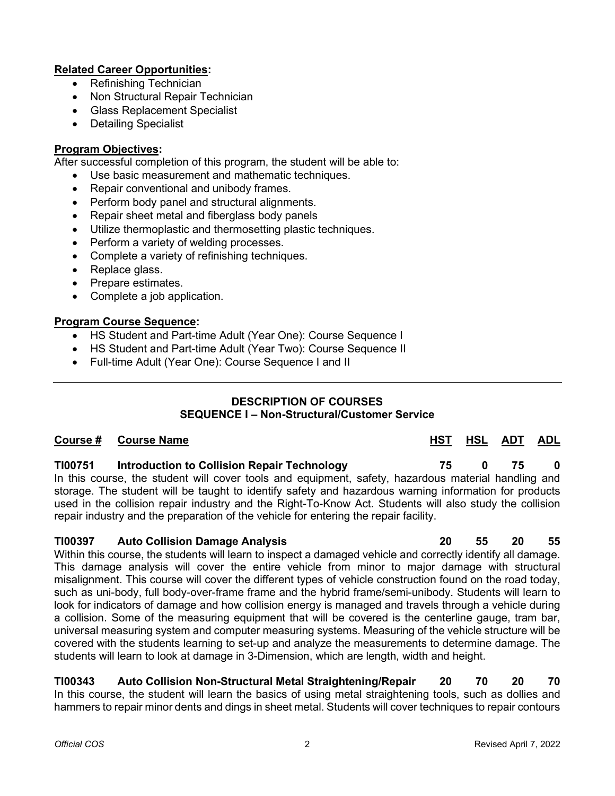## **Related Career Opportunities:**

- Refinishing Technician
- Non Structural Repair Technician
- Glass Replacement Specialist
- Detailing Specialist

## **Program Objectives:**

After successful completion of this program, the student will be able to:

- Use basic measurement and mathematic techniques.
- Repair conventional and unibody frames.
- Perform body panel and structural alignments.
- Repair sheet metal and fiberglass body panels
- Utilize thermoplastic and thermosetting plastic techniques.
- Perform a variety of welding processes.
- Complete a variety of refinishing techniques.
- Replace glass.
- Prepare estimates.
- Complete a job application.

## **Program Course Sequence:**

- HS Student and Part-time Adult (Year One): Course Sequence I
- HS Student and Part-time Adult (Year Two): Course Sequence II
- Full-time Adult (Year One): Course Sequence I and II

## **DESCRIPTION OF COURSES SEQUENCE I – Non-Structural/Customer Service**

## **Course # Course Name HST HSL ADT ADL**

## **TI00751 Introduction to Collision Repair Technology 75 0 75 0**  In this course, the student will cover tools and equipment, safety, hazardous material handling and storage. The student will be taught to identify safety and hazardous warning information for products used in the collision repair industry and the Right-To-Know Act. Students will also study the collision repair industry and the preparation of the vehicle for entering the repair facility.

## **TI00397 Auto Collision Damage Analysis 20 55 20 55**

Within this course, the students will learn to inspect a damaged vehicle and correctly identify all damage. This damage analysis will cover the entire vehicle from minor to major damage with structural misalignment. This course will cover the different types of vehicle construction found on the road today, such as uni-body, full body-over-frame frame and the hybrid frame/semi-unibody. Students will learn to look for indicators of damage and how collision energy is managed and travels through a vehicle during a collision. Some of the measuring equipment that will be covered is the centerline gauge, tram bar, universal measuring system and computer measuring systems. Measuring of the vehicle structure will be covered with the students learning to set-up and analyze the measurements to determine damage. The students will learn to look at damage in 3-Dimension, which are length, width and height.

**TI00343 Auto Collision Non-Structural Metal Straightening/Repair 20 70 20 70** In this course, the student will learn the basics of using metal straightening tools, such as dollies and hammers to repair minor dents and dings in sheet metal. Students will cover techniques to repair contours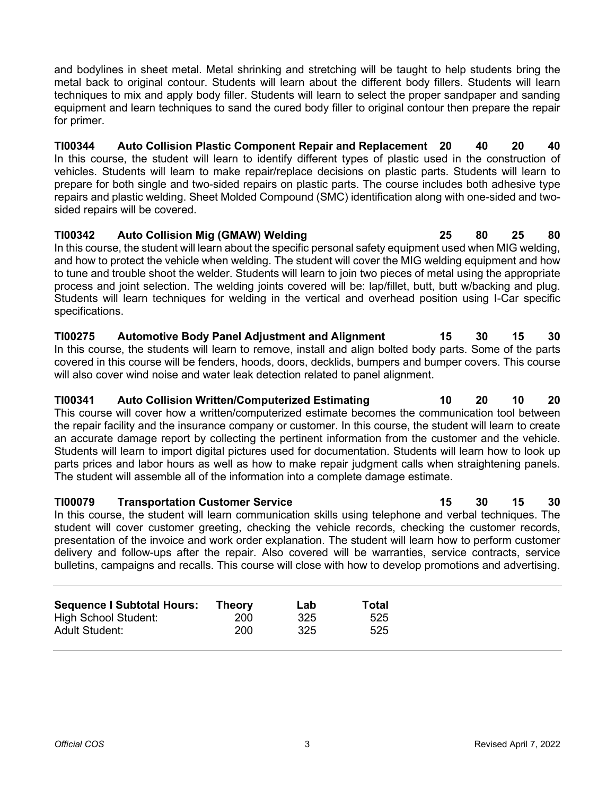and bodylines in sheet metal. Metal shrinking and stretching will be taught to help students bring the metal back to original contour. Students will learn about the different body fillers. Students will learn techniques to mix and apply body filler. Students will learn to select the proper sandpaper and sanding equipment and learn techniques to sand the cured body filler to original contour then prepare the repair for primer.

**TI00344 Auto Collision Plastic Component Repair and Replacement 20 40 20 40** In this course, the student will learn to identify different types of plastic used in the construction of vehicles. Students will learn to make repair/replace decisions on plastic parts. Students will learn to prepare for both single and two-sided repairs on plastic parts. The course includes both adhesive type repairs and plastic welding. Sheet Molded Compound (SMC) identification along with one-sided and twosided repairs will be covered.

**TI00342 Auto Collision Mig (GMAW) Welding 25 80 25 80** In this course, the student will learn about the specific personal safety equipment used when MIG welding, and how to protect the vehicle when welding. The student will cover the MIG welding equipment and how to tune and trouble shoot the welder. Students will learn to join two pieces of metal using the appropriate process and joint selection. The welding joints covered will be: lap/fillet, butt, butt w/backing and plug. Students will learn techniques for welding in the vertical and overhead position using I-Car specific specifications.

**TI00275 Automotive Body Panel Adjustment and Alignment 15 30 15 30** In this course, the students will learn to remove, install and align bolted body parts. Some of the parts covered in this course will be fenders, hoods, doors, decklids, bumpers and bumper covers. This course will also cover wind noise and water leak detection related to panel alignment.

**TI00341 Auto Collision Written/Computerized Estimating 10 20 10 20** This course will cover how a written/computerized estimate becomes the communication tool between the repair facility and the insurance company or customer. In this course, the student will learn to create an accurate damage report by collecting the pertinent information from the customer and the vehicle. Students will learn to import digital pictures used for documentation. Students will learn how to look up parts prices and labor hours as well as how to make repair judgment calls when straightening panels. The student will assemble all of the information into a complete damage estimate.

## **TI00079 Transportation Customer Service 15 30 15 30** In this course, the student will learn communication skills using telephone and verbal techniques. The student will cover customer greeting, checking the vehicle records, checking the customer records, presentation of the invoice and work order explanation. The student will learn how to perform customer delivery and follow-ups after the repair. Also covered will be warranties, service contracts, service bulletins, campaigns and recalls. This course will close with how to develop promotions and advertising.

| <b>Sequence I Subtotal Hours:</b> | Theorv | Lab | Total |
|-----------------------------------|--------|-----|-------|
| <b>High School Student:</b>       | 200    | 325 | 525   |
| <b>Adult Student:</b>             | 200    | 325 | 525   |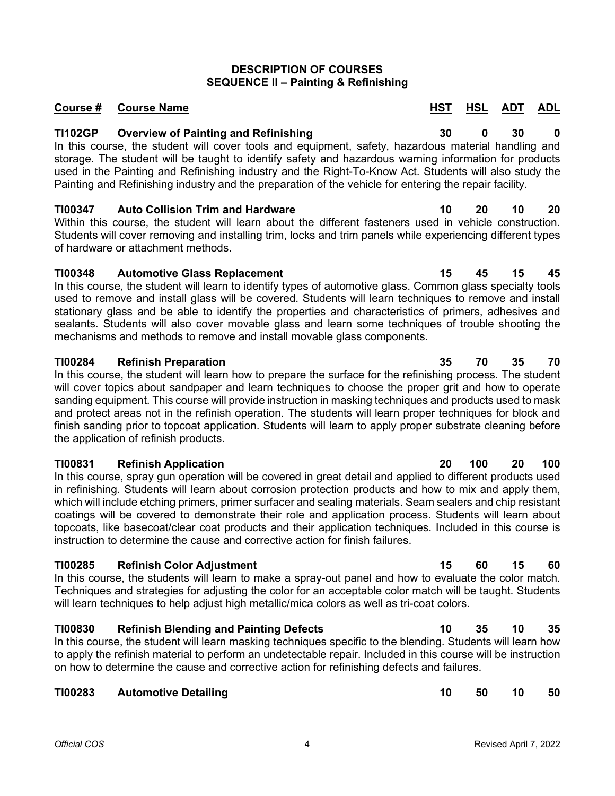# **DESCRIPTION OF COURSES SEQUENCE II – Painting & Refinishing**

# **Course # Course Name Assume HST HSL ADT ADL**

# **TI102GP Overview of Painting and Refinishing 30 0 30 0**

In this course, the student will cover tools and equipment, safety, hazardous material handling and storage. The student will be taught to identify safety and hazardous warning information for products used in the Painting and Refinishing industry and the Right-To-Know Act. Students will also study the Painting and Refinishing industry and the preparation of the vehicle for entering the repair facility.

# **TI00347 Auto Collision Trim and Hardware 10 20 10 20**

Within this course, the student will learn about the different fasteners used in vehicle construction. Students will cover removing and installing trim, locks and trim panels while experiencing different types of hardware or attachment methods.

# **TI00348 Automotive Glass Replacement 15 45 15 45**

In this course, the student will learn to identify types of automotive glass. Common glass specialty tools used to remove and install glass will be covered. Students will learn techniques to remove and install stationary glass and be able to identify the properties and characteristics of primers, adhesives and sealants. Students will also cover movable glass and learn some techniques of trouble shooting the mechanisms and methods to remove and install movable glass components.

# **TI00284 Refinish Preparation 35 70 35 70**

In this course, the student will learn how to prepare the surface for the refinishing process. The student will cover topics about sandpaper and learn techniques to choose the proper grit and how to operate sanding equipment. This course will provide instruction in masking techniques and products used to mask and protect areas not in the refinish operation. The students will learn proper techniques for block and finish sanding prior to topcoat application. Students will learn to apply proper substrate cleaning before the application of refinish products.

# **TI00831 Refinish Application 20 100 20 100**

In this course, spray gun operation will be covered in great detail and applied to different products used in refinishing. Students will learn about corrosion protection products and how to mix and apply them, which will include etching primers, primer surfacer and sealing materials. Seam sealers and chip resistant coatings will be covered to demonstrate their role and application process. Students will learn about topcoats, like basecoat/clear coat products and their application techniques. Included in this course is instruction to determine the cause and corrective action for finish failures.

# **TI00285 Refinish Color Adjustment 15 60 15 60**

In this course, the students will learn to make a spray-out panel and how to evaluate the color match. Techniques and strategies for adjusting the color for an acceptable color match will be taught. Students will learn techniques to help adjust high metallic/mica colors as well as tri-coat colors.

# **TI00830 Refinish Blending and Painting Defects 10 35 10 35**

In this course, the student will learn masking techniques specific to the blending. Students will learn how to apply the refinish material to perform an undetectable repair. Included in this course will be instruction on how to determine the cause and corrective action for refinishing defects and failures.

# **TI00283 Automotive Detailing 10 50 10 50**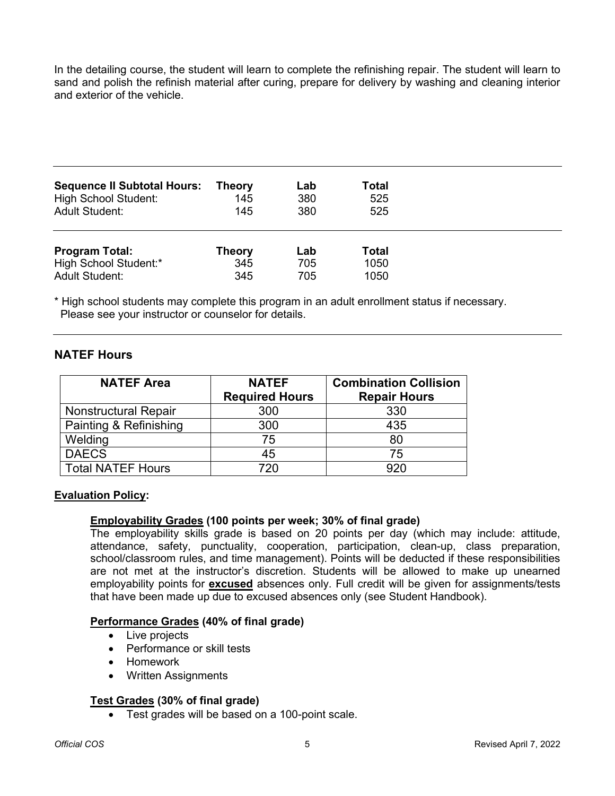In the detailing course, the student will learn to complete the refinishing repair. The student will learn to sand and polish the refinish material after curing, prepare for delivery by washing and cleaning interior and exterior of the vehicle.

| <b>Sequence II Subtotal Hours:</b> | <b>Theory</b> | Lab | Total        |  |
|------------------------------------|---------------|-----|--------------|--|
| <b>High School Student:</b>        | 145           | 380 | 525          |  |
| <b>Adult Student:</b>              | 145           | 380 | 525          |  |
| <b>Program Total:</b>              | Theory        | Lab | <b>Total</b> |  |
| High School Student:*              | 345           | 705 | 1050         |  |
| <b>Adult Student:</b>              | 345           | 705 | 1050         |  |

\* High school students may complete this program in an adult enrollment status if necessary. Please see your instructor or counselor for details.

## **NATEF Hours**

| <b>NATEF Area</b>           | <b>NATEF</b><br><b>Required Hours</b> | <b>Combination Collision</b><br><b>Repair Hours</b> |  |  |
|-----------------------------|---------------------------------------|-----------------------------------------------------|--|--|
| <b>Nonstructural Repair</b> | 300                                   | 330                                                 |  |  |
| Painting & Refinishing      | 300                                   | 435                                                 |  |  |
| Welding                     | 75                                    | 80                                                  |  |  |
| <b>DAECS</b>                | 45                                    | 75                                                  |  |  |
| <b>Total NATEF Hours</b>    | 720                                   | 920                                                 |  |  |

## **Evaluation Policy:**

## **Employability Grades (100 points per week; 30% of final grade)**

The employability skills grade is based on 20 points per day (which may include: attitude, attendance, safety, punctuality, cooperation, participation, clean-up, class preparation, school/classroom rules, and time management). Points will be deducted if these responsibilities are not met at the instructor's discretion. Students will be allowed to make up unearned employability points for **excused** absences only. Full credit will be given for assignments/tests that have been made up due to excused absences only (see Student Handbook).

## **Performance Grades (40% of final grade)**

- Live projects
- Performance or skill tests
- Homework
- Written Assignments

## **Test Grades (30% of final grade)**

• Test grades will be based on a 100-point scale.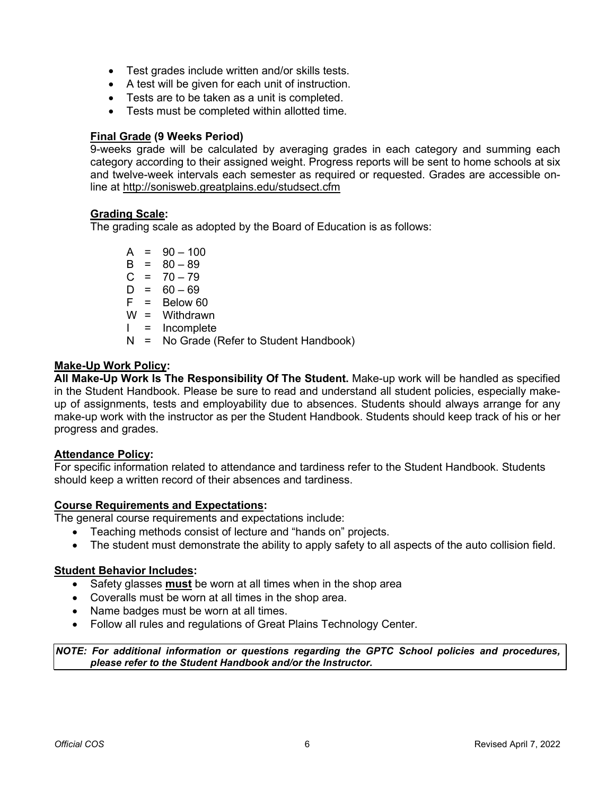- Test grades include written and/or skills tests.
- A test will be given for each unit of instruction.
- Tests are to be taken as a unit is completed.
- Tests must be completed within allotted time.

## **Final Grade (9 Weeks Period)**

9-weeks grade will be calculated by averaging grades in each category and summing each category according to their assigned weight. Progress reports will be sent to home schools at six and twelve-week intervals each semester as required or requested. Grades are accessible online at<http://sonisweb.greatplains.edu/studsect.cfm>

## **Grading Scale:**

The grading scale as adopted by the Board of Education is as follows:

 $A = 90 - 100$  $B = 80 - 89$  $C = 70 - 79$  $D = 60 - 69$  $F =$  Below 60 W = Withdrawn  $I = Incomplete$ N = No Grade (Refer to Student Handbook)

## **Make-Up Work Policy:**

**All Make-Up Work Is The Responsibility Of The Student.** Make-up work will be handled as specified in the Student Handbook. Please be sure to read and understand all student policies, especially makeup of assignments, tests and employability due to absences. Students should always arrange for any make-up work with the instructor as per the Student Handbook. Students should keep track of his or her progress and grades.

## **Attendance Policy:**

For specific information related to attendance and tardiness refer to the Student Handbook. Students should keep a written record of their absences and tardiness.

## **Course Requirements and Expectations:**

The general course requirements and expectations include:

- Teaching methods consist of lecture and "hands on" projects.
- The student must demonstrate the ability to apply safety to all aspects of the auto collision field.

## **Student Behavior Includes:**

- Safety glasses **must** be worn at all times when in the shop area
- Coveralls must be worn at all times in the shop area.
- Name badges must be worn at all times.
- Follow all rules and regulations of Great Plains Technology Center.

*NOTE: For additional information or questions regarding the GPTC School policies and procedures, please refer to the Student Handbook and/or the Instructor.*